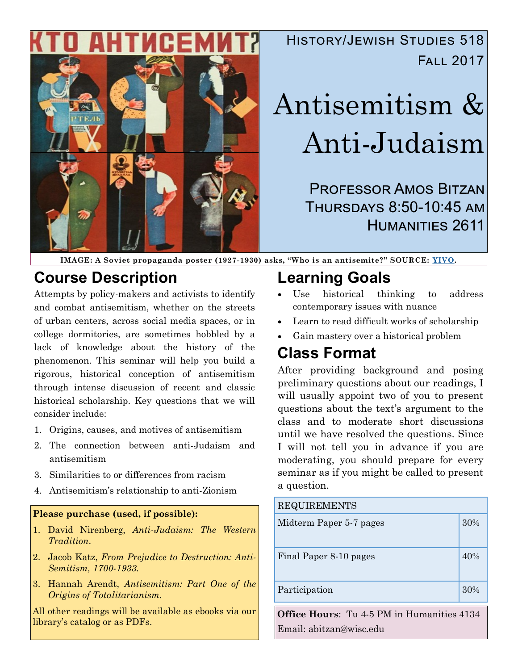

### History/Jewish Studies 518 Fall 2017

# Antisemitism & Anti-Judaism

Professor Amos Bitzan Thursdays 8:50-10:45 am Humanities 2611

**IMAGE: A Soviet propaganda poster (1927-1930) asks, "Who is an antisemite?" SOURCE: [YIVO.](http://yivoencyclopedia.org/article.aspx/Antisemitic_Parties_and_Movements)**

### **Course Description**

Attempts by policy-makers and activists to identify and combat antisemitism, whether on the streets of urban centers, across social media spaces, or in college dormitories, are sometimes hobbled by a lack of knowledge about the history of the phenomenon. This seminar will help you build a rigorous, historical conception of antisemitism through intense discussion of recent and classic historical scholarship. Key questions that we will consider include:

- 1. Origins, causes, and motives of antisemitism
- 2. The connection between anti-Judaism and antisemitism
- 3. Similarities to or differences from racism
- 4. Antisemitism's relationship to anti-Zionism

#### **Please purchase (used, if possible):**

- 1. David Nirenberg, *Anti-Judaism: The Western Tradition*.
- 2. Jacob Katz, *From Prejudice to Destruction: Anti-Semitism, 1700-1933.*
- 3. Hannah Arendt, *Antisemitism: Part One of the Origins of Totalitarianism*.

All other readings will be available as ebooks via our library's catalog or as PDFs.

## **Learning Goals**

- Use historical thinking to address contemporary issues with nuance
- Learn to read difficult works of scholarship
- Gain mastery over a historical problem

### **Class Format**

After providing background and posing preliminary questions about our readings, I will usually appoint two of you to present questions about the text's argument to the class and to moderate short discussions until we have resolved the questions. Since I will not tell you in advance if you are moderating, you should prepare for every seminar as if you might be called to present a question.

| <b>REQUIREMENTS</b>                        |     |  |  |
|--------------------------------------------|-----|--|--|
| Midterm Paper 5-7 pages                    | 30% |  |  |
| Final Paper 8-10 pages                     | 40% |  |  |
| Participation                              | 30% |  |  |
| Office Hours: Tu 4.5 PM in Humanities 4134 |     |  |  |

**Office Hours**: Tu 4-5 PM in Humanities 4134 Email: abitzan@wisc.edu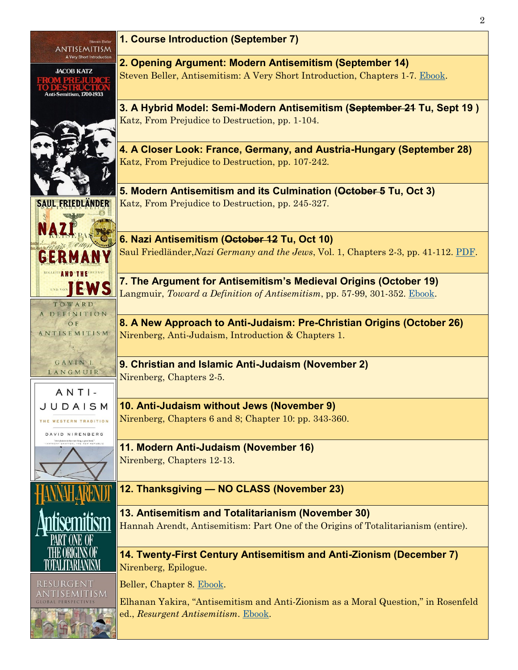| Steven Beller<br>ANTISEMITISM                  | 1. Course Introduction (September 7)                                                                                                                                                                           |  |  |  |  |
|------------------------------------------------|----------------------------------------------------------------------------------------------------------------------------------------------------------------------------------------------------------------|--|--|--|--|
| A Very Short Introduction<br><b>JACOB KATZ</b> | 2. Opening Argument: Modern Antisemitism (September 14)<br>Steven Beller, Antisemitism: A Very Short Introduction, Chapters 1-7. Ebook.                                                                        |  |  |  |  |
| Anti-Semitism, 1700-1933                       |                                                                                                                                                                                                                |  |  |  |  |
|                                                | 3. A Hybrid Model: Semi-Modern Antisemitism (September 24 Tu, Sept 19)                                                                                                                                         |  |  |  |  |
|                                                | Katz, From Prejudice to Destruction, pp. 1-104.                                                                                                                                                                |  |  |  |  |
|                                                | 4. A Closer Look: France, Germany, and Austria-Hungary (September 28)                                                                                                                                          |  |  |  |  |
|                                                | Katz, From Prejudice to Destruction, pp. 107-242.                                                                                                                                                              |  |  |  |  |
|                                                | 5. Modern Antisemitism and its Culmination (October 5 Tu, Oct 3)                                                                                                                                               |  |  |  |  |
| <b>SAUL FRIEDLANDER</b>                        | Katz, From Prejudice to Destruction, pp. 245-327.                                                                                                                                                              |  |  |  |  |
|                                                | 6. Nazi Antisemitism (October 12 Tu, Oct 10)                                                                                                                                                                   |  |  |  |  |
| <b>GERM</b>                                    | Saul Friedländer, Nazi Germany and the Jews, Vol. 1, Chapters 2-3, pp. 41-112. PDF.                                                                                                                            |  |  |  |  |
| EWS                                            | 7. The Argument for Antisemitism's Medieval Origins (October 19)                                                                                                                                               |  |  |  |  |
| TOWARD<br>DEFINITION                           | Langmuir, Toward a Definition of Antisemitism, pp. 57-99, 301-352. Ebook.                                                                                                                                      |  |  |  |  |
| OF                                             | 8. A New Approach to Anti-Judaism: Pre-Christian Origins (October 26)<br>Nirenberg, Anti-Judaism, Introduction & Chapters 1.<br>9. Christian and Islamic Anti-Judaism (November 2)<br>Nirenberg, Chapters 2-5. |  |  |  |  |
| ANTISEMITISM                                   |                                                                                                                                                                                                                |  |  |  |  |
| GAVINI.<br>LANGMUIR                            |                                                                                                                                                                                                                |  |  |  |  |
| $ANTI$ -                                       |                                                                                                                                                                                                                |  |  |  |  |
| JUDAISM                                        | 10. Anti-Judaism without Jews (November 9)<br>Nirenberg, Chapters 6 and 8; Chapter 10: pp. 343-360.                                                                                                            |  |  |  |  |
| THE WESTERN TRADITION<br>DAVID NIRENBERG       |                                                                                                                                                                                                                |  |  |  |  |
|                                                | 11. Modern Anti-Judaism (November 16)                                                                                                                                                                          |  |  |  |  |
|                                                | Nirenberg, Chapters 12-13.                                                                                                                                                                                     |  |  |  |  |
|                                                | 12. Thanksgiving - NO CLASS (November 23)                                                                                                                                                                      |  |  |  |  |
|                                                | 13. Antisemitism and Totalitarianism (November 30)<br>Hannah Arendt, Antisemitism: Part One of the Origins of Totalitarianism (entire).                                                                        |  |  |  |  |
|                                                | 14. Twenty-First Century Antisemitism and Anti-Zionism (December 7)<br>Nirenberg, Epilogue.                                                                                                                    |  |  |  |  |
| RESURGENT                                      | Beller, Chapter 8. Ebook.                                                                                                                                                                                      |  |  |  |  |
| 15M                                            | Elhanan Yakira, "Antisemitism and Anti-Zionism as a Moral Question," in Rosenfeld<br>ed., Resurgent Antisemitism. Ebook.                                                                                       |  |  |  |  |
|                                                |                                                                                                                                                                                                                |  |  |  |  |

2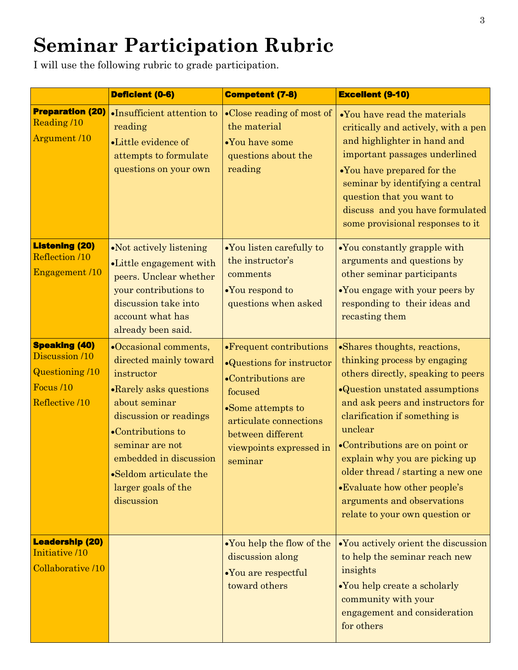# **Seminar Participation Rubric**

I will use the following rubric to grade participation.

|                                                                                                 | Deficient (0-6)                                                                                                                                                                                                                                                      | <b>Competent (7-8)</b>                                                                                                                                                                                    | <b>Excellent (9-10)</b>                                                                                                                                                                                                                                                                                                                                                                                                        |
|-------------------------------------------------------------------------------------------------|----------------------------------------------------------------------------------------------------------------------------------------------------------------------------------------------------------------------------------------------------------------------|-----------------------------------------------------------------------------------------------------------------------------------------------------------------------------------------------------------|--------------------------------------------------------------------------------------------------------------------------------------------------------------------------------------------------------------------------------------------------------------------------------------------------------------------------------------------------------------------------------------------------------------------------------|
| <b>Preparation (20)</b><br>Reading /10<br>Argument /10                                          | •Insufficient attention to<br>reading<br>•Little evidence of<br>attempts to formulate<br>questions on your own                                                                                                                                                       | •Close reading of most of<br>the material<br>•You have some<br>questions about the<br>reading                                                                                                             | •You have read the materials<br>critically and actively, with a pen<br>and highlighter in hand and<br>important passages underlined<br>•You have prepared for the<br>seminar by identifying a central<br>question that you want to<br>discuss and you have formulated<br>some provisional responses to it                                                                                                                      |
| <b>Listening (20)</b><br>Reflection /10<br>Engagement /10                                       | •Not actively listening<br>•Little engagement with<br>peers. Unclear whether<br>your contributions to<br>discussion take into<br>account what has<br>already been said.                                                                                              | •You listen carefully to<br>the instructor's<br>comments<br>•You respond to<br>questions when asked                                                                                                       | .You constantly grapple with<br>arguments and questions by<br>other seminar participants<br>•You engage with your peers by<br>responding to their ideas and<br>recasting them                                                                                                                                                                                                                                                  |
| <b>Speaking (40)</b><br>Discussion /10<br><b>Questioning /10</b><br>Focus /10<br>Reflective /10 | •Occasional comments,<br>directed mainly toward<br>instructor<br>• Rarely asks questions<br>about seminar<br>discussion or readings<br>•Contributions to<br>seminar are not<br>embedded in discussion<br>•Seldom articulate the<br>larger goals of the<br>discussion | • Frequent contributions<br>•Questions for instructor<br>$\bullet$ Contributions are<br>focused<br>•Some attempts to<br>articulate connections<br>between different<br>viewpoints expressed in<br>seminar | •Shares thoughts, reactions,<br>thinking process by engaging<br>others directly, speaking to peers<br>•Question unstated assumptions<br>and ask peers and instructors for<br>clarification if something is<br>unclear<br>•Contributions are on point or<br>explain why you are picking up<br>older thread / starting a new one<br>•Evaluate how other people's<br>arguments and observations<br>relate to your own question or |
| <b>Leadership (20)</b><br>Initiative /10<br>Collaborative /10                                   |                                                                                                                                                                                                                                                                      | •You help the flow of the<br>discussion along<br>•You are respectful<br>toward others                                                                                                                     | •You actively orient the discussion<br>to help the seminar reach new<br>insights<br>•You help create a scholarly<br>community with your<br>engagement and consideration<br>for others                                                                                                                                                                                                                                          |